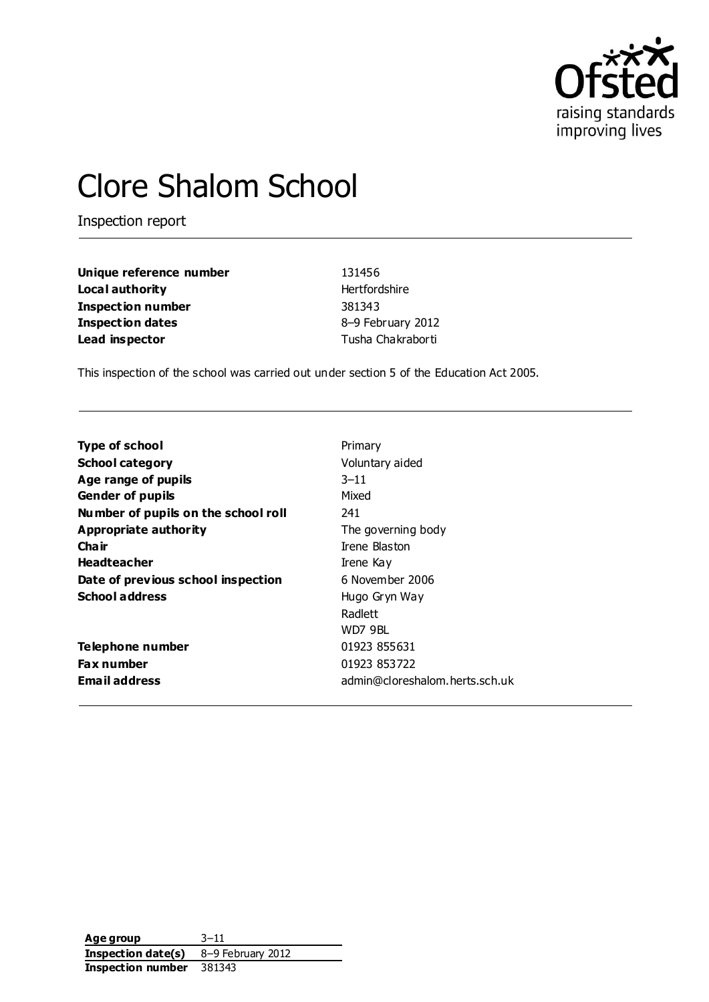

# Clore Shalom School

Inspection report

| Unique reference number  | 131456            |
|--------------------------|-------------------|
| Local authority          | Hertfordshire     |
| <b>Inspection number</b> | 381343            |
| <b>Inspection dates</b>  | 8-9 February 2012 |
| Lead inspector           | Tusha Chakraborti |

This inspection of the school was carried out under section 5 of the Education Act 2005.

| Primary                        |
|--------------------------------|
| Voluntary aided                |
| $3 - 11$                       |
| Mixed                          |
| 241                            |
| The governing body             |
| Trene Blaston                  |
| Irene Kay                      |
| 6 November 2006                |
| Hugo Gryn Way                  |
| Radlett                        |
| WD7 9BL                        |
| 01923 855631                   |
| 01923 853722                   |
| admin@cloreshalom.herts.sch.uk |
|                                |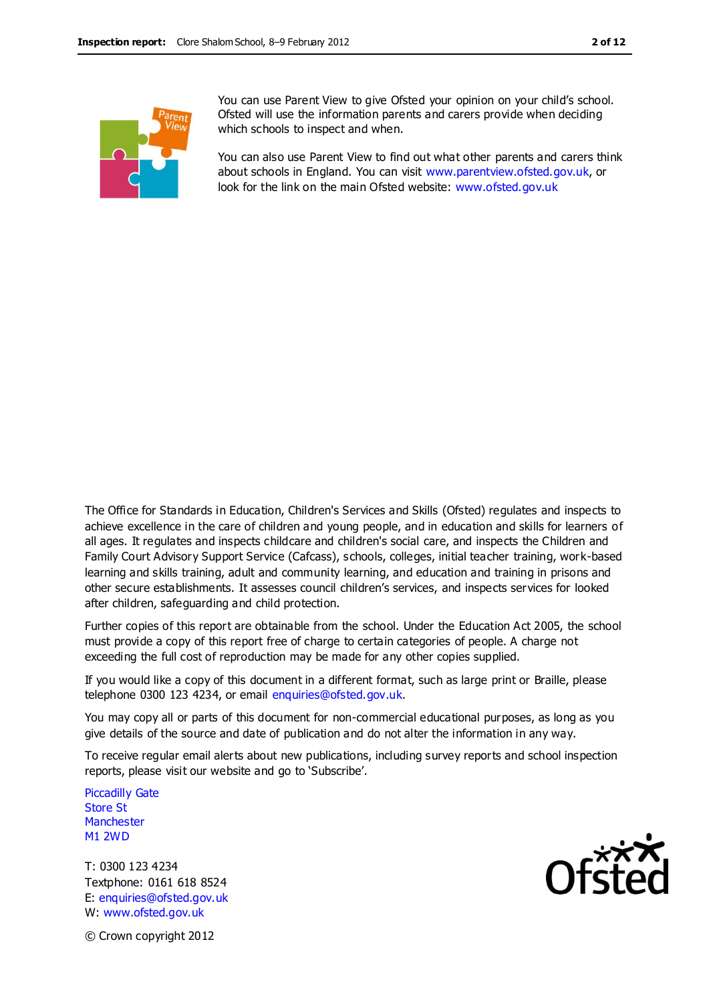You can use Parent View to give Ofsted your opinion on your child's school. Ofsted will use the information parents and carers provide when deciding which schools to inspect and when.

You can also use Parent View to find out what other parents and carers think about schools in England. You can visit [www.parentview.ofsted.gov.uk,](http://www.parentview.ofsted.gov.uk/) or look for the link on the main Ofsted website: [www.ofsted.gov.uk](http://www.ofsted.gov.uk/)

The Office for Standards in Education, Children's Services and Skills (Ofsted) regulates and inspects to achieve excellence in the care of children and young people, and in education and skills for learners of all ages. It regulates and inspects childcare and children's social care, and inspects the Children and Family Court Advisory Support Service (Cafcass), schools, colleges, initial teacher training, work-based learning and skills training, adult and community learning, and education and training in prisons and other secure establishments. It assesses council children's services, and inspects services for looked after children, safeguarding and child protection.

Further copies of this report are obtainable from the school. Under the Education Act 2005, the school must provide a copy of this report free of charge to certain categories of people. A charge not exceeding the full cost of reproduction may be made for any other copies supplied.

If you would like a copy of this document in a different format, such as large print or Braille, please telephone 0300 123 4234, or email enquiries@ofsted.gov.uk.

You may copy all or parts of this document for non-commercial educational purposes, as long as you give details of the source and date of publication and do not alter the information in any way.

To receive regular email alerts about new publications, including survey reports and school inspection reports, please visit our website and go to 'Subscribe'.

Piccadilly Gate Store St **Manchester** M1 2WD

T: 0300 123 4234 Textphone: 0161 618 8524 E: enquiries@ofsted.gov.uk W: www.ofsted.gov.uk



© Crown copyright 2012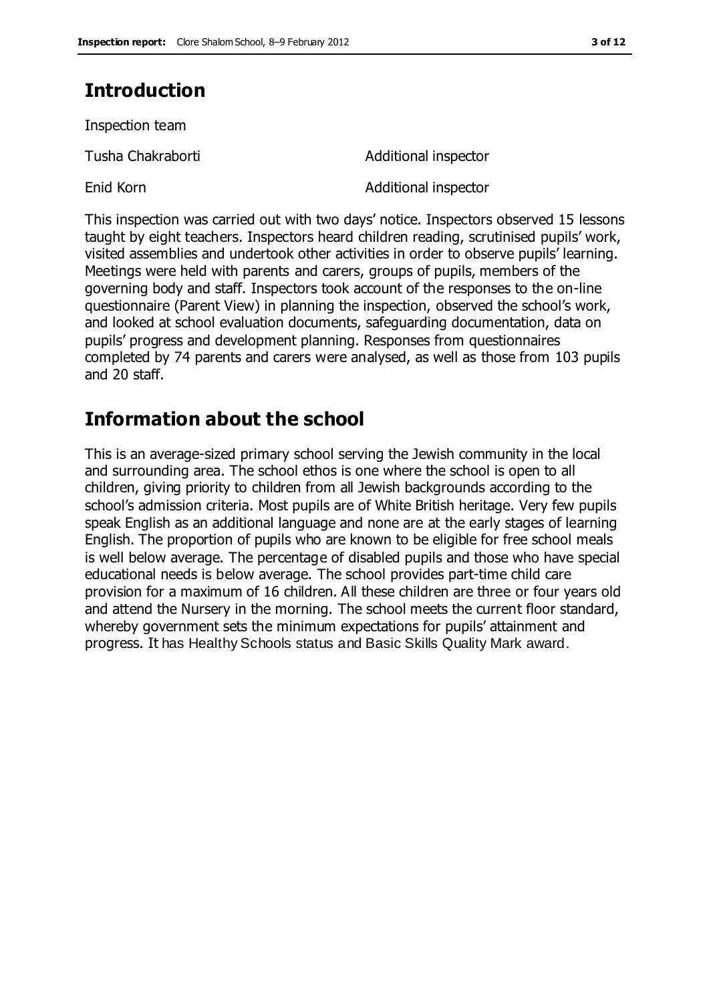### **Introduction**

Inspection team

Tusha Chakraborti **Additional inspector** 

Enid Korn **Additional inspector** 

This inspection was carried out with two days' notice. Inspectors observed 15 lessons taught by eight teachers. Inspectors heard children reading, scrutinised pupils' work, visited assemblies and undertook other activities in order to observe pupils' learning. Meetings were held with parents and carers, groups of pupils, members of the governing body and staff. Inspectors took account of the responses to the on-line questionnaire (Parent View) in planning the inspection, observed the school's work, and looked at school evaluation documents, safeguarding documentation, data on pupils' progress and development planning. Responses from questionnaires completed by 74 parents and carers were analysed, as well as those from 103 pupils and 20 staff.

### **Information about the school**

This is an average-sized primary school serving the Jewish community in the local and surrounding area. The school ethos is one where the school is open to all children, giving priority to children from all Jewish backgrounds according to the school's admission criteria. Most pupils are of White British heritage. Very few pupils speak English as an additional language and none are at the early stages of learning English. The proportion of pupils who are known to be eligible for free school meals is well below average. The percentage of disabled pupils and those who have special educational needs is below average. The school provides part-time child care provision for a maximum of 16 children. All these children are three or four years old and attend the Nursery in the morning. The school meets the current floor standard, whereby government sets the minimum expectations for pupils' attainment and progress. It has Healthy Schools status and Basic Skills Quality Mark award.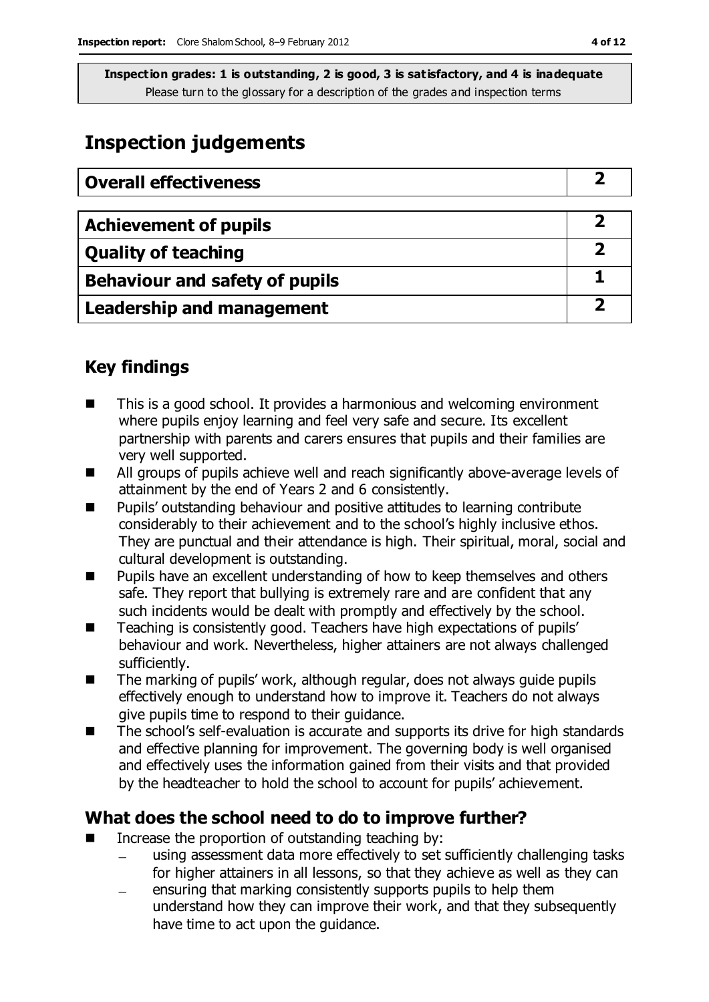### **Inspection judgements**

| <b>Overall effectiveness</b>     |  |
|----------------------------------|--|
|                                  |  |
| <b>Achievement of pupils</b>     |  |
| <b>Quality of teaching</b>       |  |
| Behaviour and safety of pupils   |  |
| <b>Leadership and management</b> |  |

### **Key findings**

- This is a good school. It provides a harmonious and welcoming environment where pupils enjoy learning and feel very safe and secure. Its excellent partnership with parents and carers ensures that pupils and their families are very well supported.
- All groups of pupils achieve well and reach significantly above-average levels of attainment by the end of Years 2 and 6 consistently.
- Pupils' outstanding behaviour and positive attitudes to learning contribute considerably to their achievement and to the school's highly inclusive ethos. They are punctual and their attendance is high. Their spiritual, moral, social and cultural development is outstanding.
- **Pupils have an excellent understanding of how to keep themselves and others** safe. They report that bullying is extremely rare and are confident that any such incidents would be dealt with promptly and effectively by the school.
- Teaching is consistently good. Teachers have high expectations of pupils' behaviour and work. Nevertheless, higher attainers are not always challenged sufficiently.
- The marking of pupils' work, although regular, does not always guide pupils effectively enough to understand how to improve it. Teachers do not always give pupils time to respond to their guidance.
- The school's self-evaluation is accurate and supports its drive for high standards and effective planning for improvement. The governing body is well organised and effectively uses the information gained from their visits and that provided by the headteacher to hold the school to account for pupils' achievement.

### **What does the school need to do to improve further?**

- Increase the proportion of outstanding teaching by:
	- using assessment data more effectively to set sufficiently challenging tasks for higher attainers in all lessons, so that they achieve as well as they can
	- ensuring that marking consistently supports pupils to help them  $\equiv$ understand how they can improve their work, and that they subsequently have time to act upon the guidance.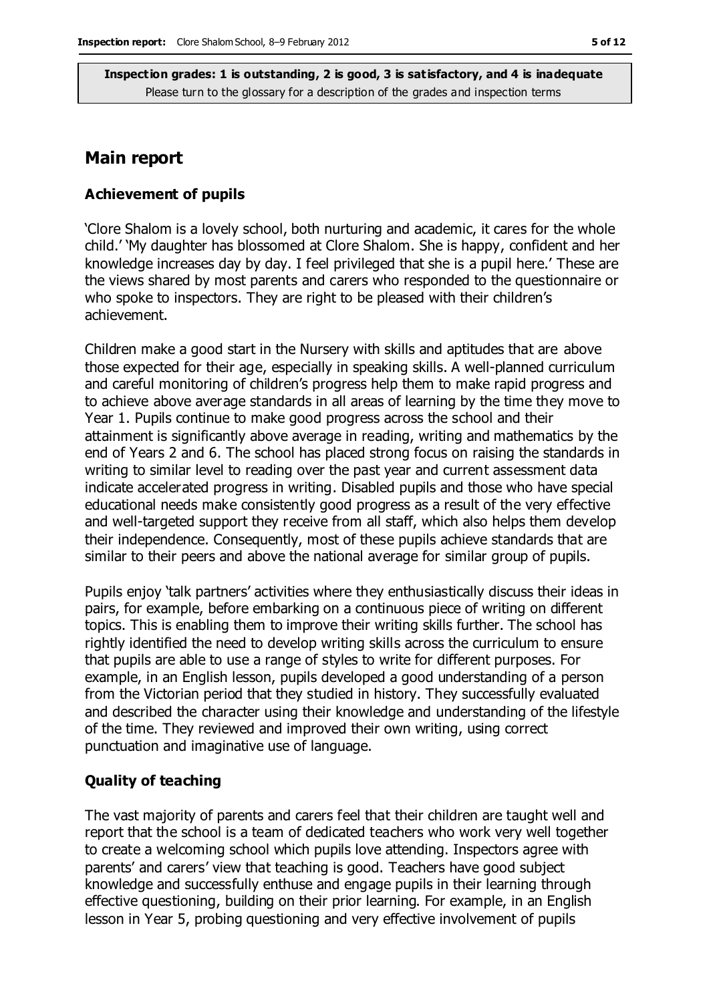#### **Main report**

#### **Achievement of pupils**

'Clore Shalom is a lovely school, both nurturing and academic, it cares for the whole child.' 'My daughter has blossomed at Clore Shalom. She is happy, confident and her knowledge increases day by day. I feel privileged that she is a pupil here.' These are the views shared by most parents and carers who responded to the questionnaire or who spoke to inspectors. They are right to be pleased with their children's achievement.

Children make a good start in the Nursery with skills and aptitudes that are above those expected for their age, especially in speaking skills. A well-planned curriculum and careful monitoring of children's progress help them to make rapid progress and to achieve above average standards in all areas of learning by the time they move to Year 1. Pupils continue to make good progress across the school and their attainment is significantly above average in reading, writing and mathematics by the end of Years 2 and 6. The school has placed strong focus on raising the standards in writing to similar level to reading over the past year and current assessment data indicate accelerated progress in writing. Disabled pupils and those who have special educational needs make consistently good progress as a result of the very effective and well-targeted support they receive from all staff, which also helps them develop their independence. Consequently, most of these pupils achieve standards that are similar to their peers and above the national average for similar group of pupils.

Pupils enjoy 'talk partners' activities where they enthusiastically discuss their ideas in pairs, for example, before embarking on a continuous piece of writing on different topics. This is enabling them to improve their writing skills further. The school has rightly identified the need to develop writing skills across the curriculum to ensure that pupils are able to use a range of styles to write for different purposes. For example, in an English lesson, pupils developed a good understanding of a person from the Victorian period that they studied in history. They successfully evaluated and described the character using their knowledge and understanding of the lifestyle of the time. They reviewed and improved their own writing, using correct punctuation and imaginative use of language.

#### **Quality of teaching**

The vast majority of parents and carers feel that their children are taught well and report that the school is a team of dedicated teachers who work very well together to create a welcoming school which pupils love attending. Inspectors agree with parents' and carers' view that teaching is good. Teachers have good subject knowledge and successfully enthuse and engage pupils in their learning through effective questioning, building on their prior learning. For example, in an English lesson in Year 5, probing questioning and very effective involvement of pupils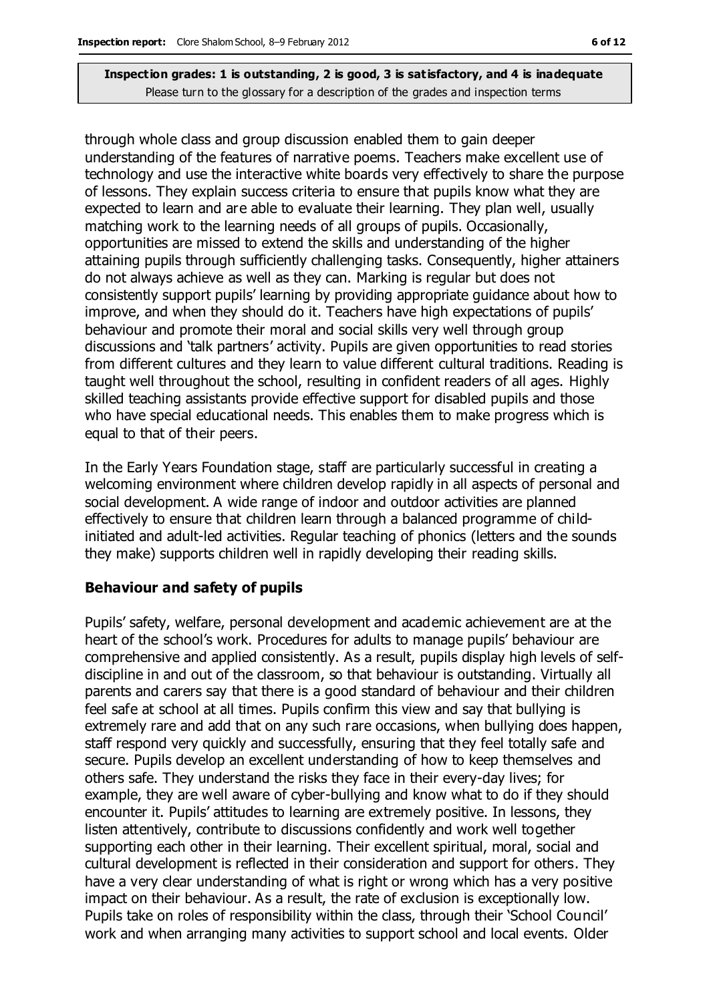through whole class and group discussion enabled them to gain deeper understanding of the features of narrative poems. Teachers make excellent use of technology and use the interactive white boards very effectively to share the purpose of lessons. They explain success criteria to ensure that pupils know what they are expected to learn and are able to evaluate their learning. They plan well, usually matching work to the learning needs of all groups of pupils. Occasionally, opportunities are missed to extend the skills and understanding of the higher attaining pupils through sufficiently challenging tasks. Consequently, higher attainers do not always achieve as well as they can. Marking is regular but does not consistently support pupils' learning by providing appropriate guidance about how to improve, and when they should do it. Teachers have high expectations of pupils' behaviour and promote their moral and social skills very well through group discussions and 'talk partners' activity. Pupils are given opportunities to read stories from different cultures and they learn to value different cultural traditions. Reading is taught well throughout the school, resulting in confident readers of all ages. Highly skilled teaching assistants provide effective support for disabled pupils and those who have special educational needs. This enables them to make progress which is equal to that of their peers.

In the Early Years Foundation stage, staff are particularly successful in creating a welcoming environment where children develop rapidly in all aspects of personal and social development. A wide range of indoor and outdoor activities are planned effectively to ensure that children learn through a balanced programme of childinitiated and adult-led activities. Regular teaching of phonics (letters and the sounds they make) supports children well in rapidly developing their reading skills.

#### **Behaviour and safety of pupils**

Pupils' safety, welfare, personal development and academic achievement are at the heart of the school's work. Procedures for adults to manage pupils' behaviour are comprehensive and applied consistently. As a result, pupils display high levels of selfdiscipline in and out of the classroom, so that behaviour is outstanding. Virtually all parents and carers say that there is a good standard of behaviour and their children feel safe at school at all times. Pupils confirm this view and say that bullying is extremely rare and add that on any such rare occasions, when bullying does happen, staff respond very quickly and successfully, ensuring that they feel totally safe and secure. Pupils develop an excellent understanding of how to keep themselves and others safe. They understand the risks they face in their every-day lives; for example, they are well aware of cyber-bullying and know what to do if they should encounter it. Pupils' attitudes to learning are extremely positive. In lessons, they listen attentively, contribute to discussions confidently and work well together supporting each other in their learning. Their excellent spiritual, moral, social and cultural development is reflected in their consideration and support for others. They have a very clear understanding of what is right or wrong which has a very positive impact on their behaviour. As a result, the rate of exclusion is exceptionally low. Pupils take on roles of responsibility within the class, through their 'School Council' work and when arranging many activities to support school and local events. Older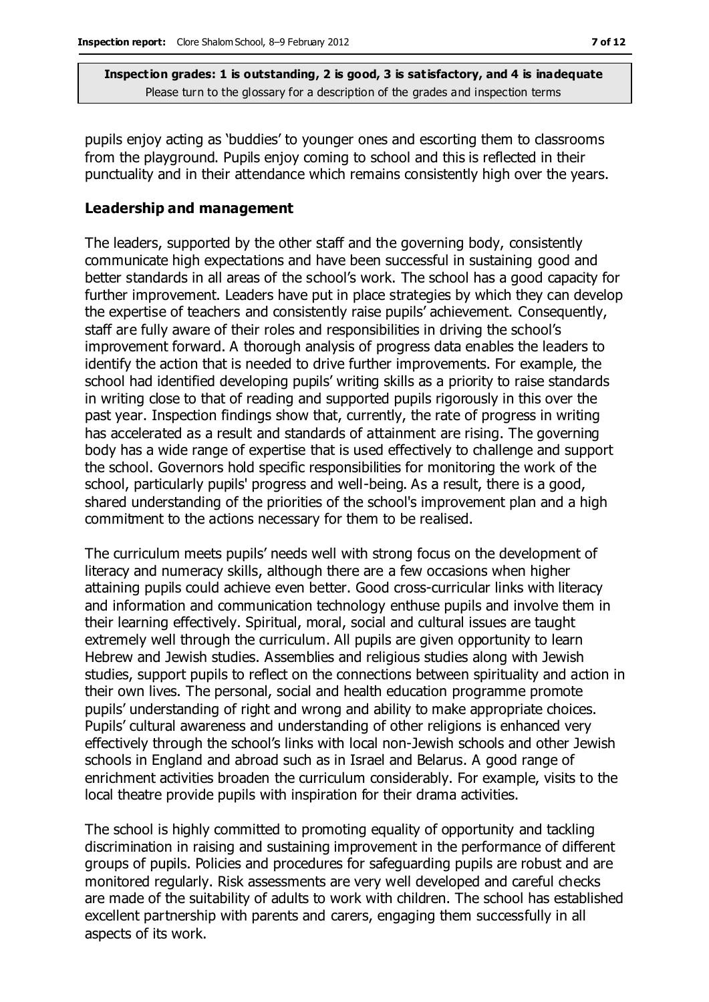pupils enjoy acting as 'buddies' to younger ones and escorting them to classrooms from the playground. Pupils enjoy coming to school and this is reflected in their punctuality and in their attendance which remains consistently high over the years.

#### **Leadership and management**

The leaders, supported by the other staff and the governing body, consistently communicate high expectations and have been successful in sustaining good and better standards in all areas of the school's work. The school has a good capacity for further improvement. Leaders have put in place strategies by which they can develop the expertise of teachers and consistently raise pupils' achievement. Consequently, staff are fully aware of their roles and responsibilities in driving the school's improvement forward. A thorough analysis of progress data enables the leaders to identify the action that is needed to drive further improvements. For example, the school had identified developing pupils' writing skills as a priority to raise standards in writing close to that of reading and supported pupils rigorously in this over the past year. Inspection findings show that, currently, the rate of progress in writing has accelerated as a result and standards of attainment are rising. The governing body has a wide range of expertise that is used effectively to challenge and support the school. Governors hold specific responsibilities for monitoring the work of the school, particularly pupils' progress and well-being. As a result, there is a good, shared understanding of the priorities of the school's improvement plan and a high commitment to the actions necessary for them to be realised.

The curriculum meets pupils' needs well with strong focus on the development of literacy and numeracy skills, although there are a few occasions when higher attaining pupils could achieve even better. Good cross-curricular links with literacy and information and communication technology enthuse pupils and involve them in their learning effectively. Spiritual, moral, social and cultural issues are taught extremely well through the curriculum. All pupils are given opportunity to learn Hebrew and Jewish studies. Assemblies and religious studies along with Jewish studies, support pupils to reflect on the connections between spirituality and action in their own lives. The personal, social and health education programme promote pupils' understanding of right and wrong and ability to make appropriate choices. Pupils' cultural awareness and understanding of other religions is enhanced very effectively through the school's links with local non-Jewish schools and other Jewish schools in England and abroad such as in Israel and Belarus. A good range of enrichment activities broaden the curriculum considerably. For example, visits to the local theatre provide pupils with inspiration for their drama activities.

The school is highly committed to promoting equality of opportunity and tackling discrimination in raising and sustaining improvement in the performance of different groups of pupils. Policies and procedures for safeguarding pupils are robust and are monitored regularly. Risk assessments are very well developed and careful checks are made of the suitability of adults to work with children. The school has established excellent partnership with parents and carers, engaging them successfully in all aspects of its work.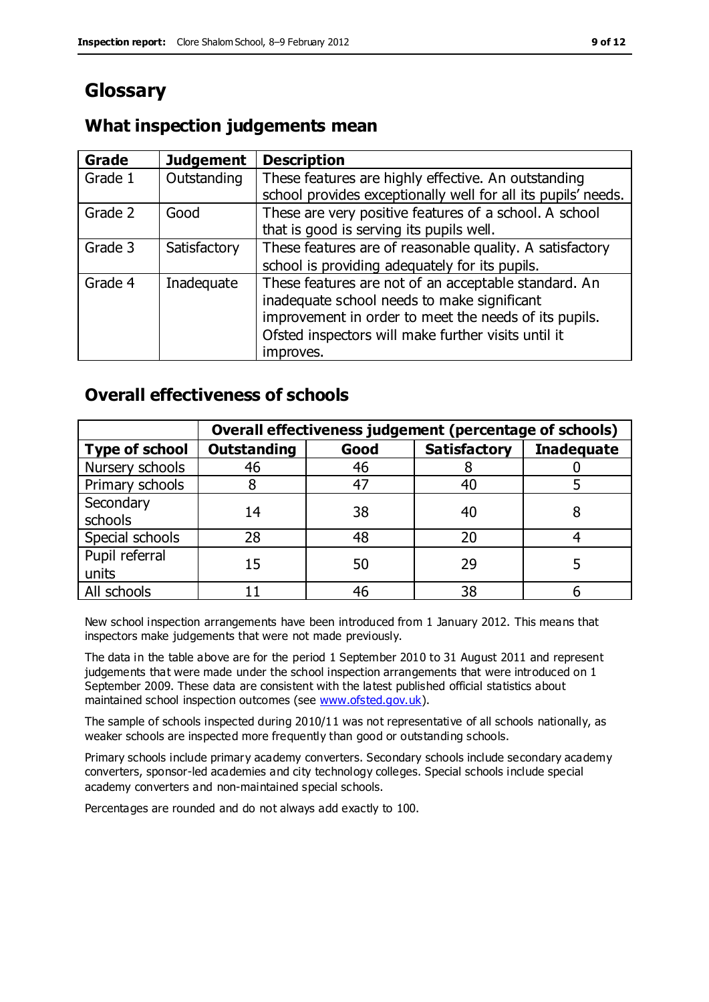### **Glossary**

#### **What inspection judgements mean**

| Grade   | <b>Judgement</b> | <b>Description</b>                                            |
|---------|------------------|---------------------------------------------------------------|
| Grade 1 | Outstanding      | These features are highly effective. An outstanding           |
|         |                  | school provides exceptionally well for all its pupils' needs. |
| Grade 2 | Good             | These are very positive features of a school. A school        |
|         |                  | that is good is serving its pupils well.                      |
| Grade 3 | Satisfactory     | These features are of reasonable quality. A satisfactory      |
|         |                  | school is providing adequately for its pupils.                |
| Grade 4 | Inadequate       | These features are not of an acceptable standard. An          |
|         |                  | inadequate school needs to make significant                   |
|         |                  | improvement in order to meet the needs of its pupils.         |
|         |                  | Ofsted inspectors will make further visits until it           |
|         |                  | improves.                                                     |

### **Overall effectiveness of schools**

|                         | Overall effectiveness judgement (percentage of schools) |      |                     |                   |
|-------------------------|---------------------------------------------------------|------|---------------------|-------------------|
| <b>Type of school</b>   | <b>Outstanding</b>                                      | Good | <b>Satisfactory</b> | <b>Inadequate</b> |
| Nursery schools         | 46                                                      | 46   |                     |                   |
| Primary schools         |                                                         | 47   | 40                  |                   |
| Secondary<br>schools    | 14                                                      | 38   | 40                  |                   |
| Special schools         | 28                                                      | 48   | 20                  |                   |
| Pupil referral<br>units | 15                                                      | 50   | 29                  |                   |
| All schools             |                                                         | 46   | 38                  |                   |

New school inspection arrangements have been introduced from 1 January 2012. This means that inspectors make judgements that were not made previously.

The data in the table above are for the period 1 September 2010 to 31 August 2011 and represent judgements that were made under the school inspection arrangements that were introduced on 1 September 2009. These data are consistent with the latest published official statistics about maintained school inspection outcomes (see [www.ofsted.gov.uk\)](http://www.ofsted.gov.uk/).

The sample of schools inspected during 2010/11 was not representative of all schools nationally, as weaker schools are inspected more frequently than good or outstanding schools.

Primary schools include primary academy converters. Secondary schools include secondary academy converters, sponsor-led academies and city technology colleges. Special schools include special academy converters and non-maintained special schools.

Percentages are rounded and do not always add exactly to 100.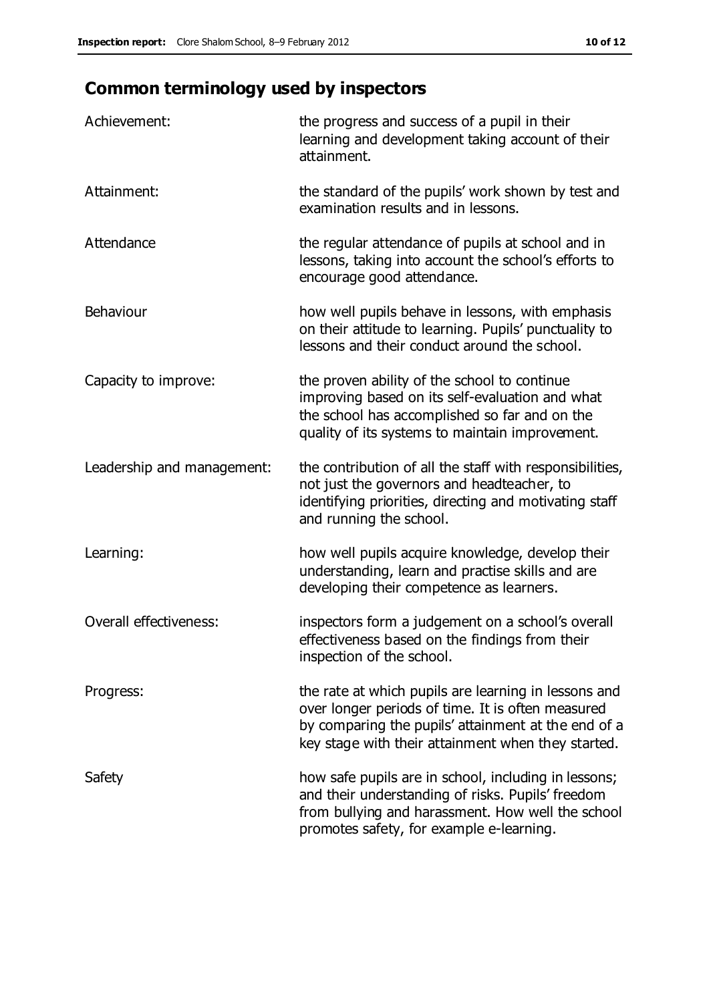## **Common terminology used by inspectors**

| Achievement:                  | the progress and success of a pupil in their<br>learning and development taking account of their<br>attainment.                                                                                                        |
|-------------------------------|------------------------------------------------------------------------------------------------------------------------------------------------------------------------------------------------------------------------|
| Attainment:                   | the standard of the pupils' work shown by test and<br>examination results and in lessons.                                                                                                                              |
| Attendance                    | the regular attendance of pupils at school and in<br>lessons, taking into account the school's efforts to<br>encourage good attendance.                                                                                |
| Behaviour                     | how well pupils behave in lessons, with emphasis<br>on their attitude to learning. Pupils' punctuality to<br>lessons and their conduct around the school.                                                              |
| Capacity to improve:          | the proven ability of the school to continue<br>improving based on its self-evaluation and what<br>the school has accomplished so far and on the<br>quality of its systems to maintain improvement.                    |
| Leadership and management:    | the contribution of all the staff with responsibilities,<br>not just the governors and headteacher, to<br>identifying priorities, directing and motivating staff<br>and running the school.                            |
| Learning:                     | how well pupils acquire knowledge, develop their<br>understanding, learn and practise skills and are<br>developing their competence as learners.                                                                       |
| <b>Overall effectiveness:</b> | inspectors form a judgement on a school's overall<br>effectiveness based on the findings from their<br>inspection of the school.                                                                                       |
| Progress:                     | the rate at which pupils are learning in lessons and<br>over longer periods of time. It is often measured<br>by comparing the pupils' attainment at the end of a<br>key stage with their attainment when they started. |
| Safety                        | how safe pupils are in school, including in lessons;<br>and their understanding of risks. Pupils' freedom<br>from bullying and harassment. How well the school<br>promotes safety, for example e-learning.             |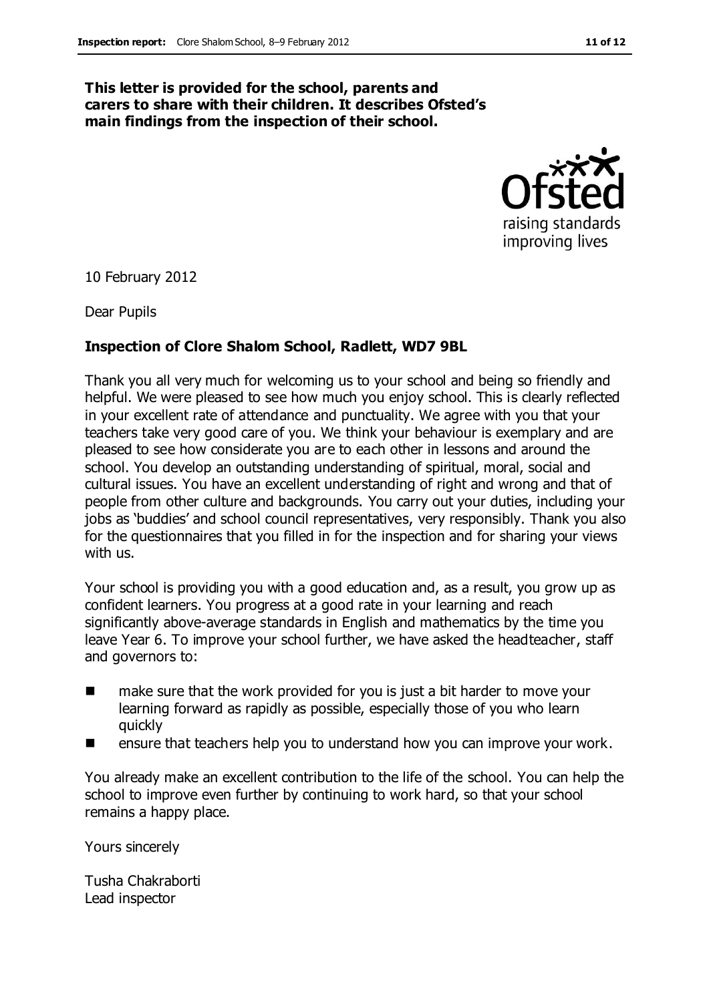#### **This letter is provided for the school, parents and carers to share with their children. It describes Ofsted's main findings from the inspection of their school.**



10 February 2012

Dear Pupils

#### **Inspection of Clore Shalom School, Radlett, WD7 9BL**

Thank you all very much for welcoming us to your school and being so friendly and helpful. We were pleased to see how much you enjoy school. This is clearly reflected in your excellent rate of attendance and punctuality. We agree with you that your teachers take very good care of you. We think your behaviour is exemplary and are pleased to see how considerate you are to each other in lessons and around the school. You develop an outstanding understanding of spiritual, moral, social and cultural issues. You have an excellent understanding of right and wrong and that of people from other culture and backgrounds. You carry out your duties, including your jobs as 'buddies' and school council representatives, very responsibly. Thank you also for the questionnaires that you filled in for the inspection and for sharing your views with us.

Your school is providing you with a good education and, as a result, you grow up as confident learners. You progress at a good rate in your learning and reach significantly above-average standards in English and mathematics by the time you leave Year 6. To improve your school further, we have asked the headteacher, staff and governors to:

- make sure that the work provided for you is just a bit harder to move your learning forward as rapidly as possible, especially those of you who learn quickly
- ensure that teachers help you to understand how you can improve your work.

You already make an excellent contribution to the life of the school. You can help the school to improve even further by continuing to work hard, so that your school remains a happy place.

Yours sincerely

Tusha Chakraborti Lead inspector